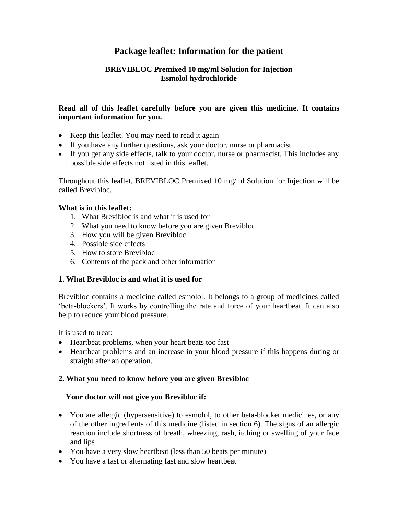# **Package leaflet: Information for the patient**

## **BREVIBLOC Premixed 10 mg/ml Solution for Injection Esmolol hydrochloride**

## **Read all of this leaflet carefully before you are given this medicine. It contains important information for you.**

- Keep this leaflet. You may need to read it again
- If you have any further questions, ask your doctor, nurse or pharmacist
- If you get any side effects, talk to your doctor, nurse or pharmacist. This includes any possible side effects not listed in this leaflet.

Throughout this leaflet, BREVIBLOC Premixed 10 mg/ml Solution for Injection will be called Brevibloc.

## **What is in this leaflet:**

- 1. What Brevibloc is and what it is used for
- 2. What you need to know before you are given Brevibloc
- 3. How you will be given Brevibloc
- 4. Possible side effects
- 5. How to store Brevibloc
- 6. Contents of the pack and other information 1.

## **1. What Brevibloc is and what it is used for**

Brevibloc contains a medicine called esmolol. It belongs to a group of medicines called 'beta-blockers'. It works by controlling the rate and force of your heartbeat. It can also help to reduce your blood pressure.

It is used to treat:

- Heartbeat problems, when your heart beats too fast
- Heartbeat problems and an increase in your blood pressure if this happens during or straight after an operation.

## **2. What you need to know before you are given Brevibloc**

## Your doctor will not give you Brevibloc if:

- You are allergic (hypersensitive) to esmolol, to other beta-blocker medicines, or any of the other ingredients of this medicine (listed in section 6). The signs of an allergic reaction include shortness of breath, wheezing, rash, itching or swelling of your face and lips
- You have a very slow heartbeat (less than 50 beats per minute)
- You have a fast or alternating fast and slow heartbeat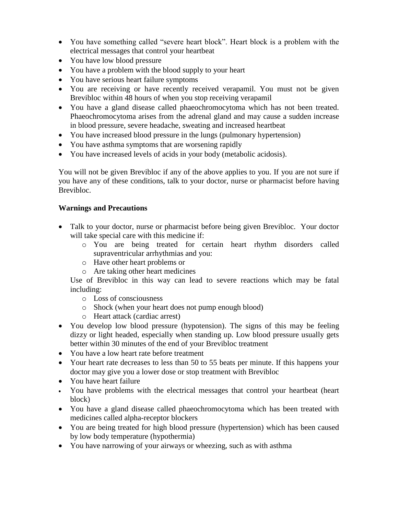- You have something called "severe heart block". Heart block is a problem with the electrical messages that control your heartbeat
- You have low blood pressure
- You have a problem with the blood supply to your heart
- You have serious heart failure symptoms
- You are receiving or have recently received verapamil. You must not be given Brevibloc within 48 hours of when you stop receiving verapamil
- You have a gland disease called phaeochromocytoma which has not been treated. Phaeochromocytoma arises from the adrenal gland and may cause a sudden increase in blood pressure, severe headache, sweating and increased heartbeat
- You have increased blood pressure in the lungs (pulmonary hypertension)
- You have asthma symptoms that are worsening rapidly
- You have increased levels of acids in your body (metabolic acidosis).

You will not be given Brevibloc if any of the above applies to you. If you are not sure if you have any of these conditions, talk to your doctor, nurse or pharmacist before having Brevibloc.

### **Warnings and Precautions**

- Talk to your doctor, nurse or pharmacist before being given Brevibloc. Your doctor will take special care with this medicine if:
	- o You are being treated for certain heart rhythm disorders called supraventricular arrhythmias and you:
	- o Have other heart problems or
	- o Are taking other heart medicines

Use of Brevibloc in this way can lead to severe reactions which may be fatal including:

- o Loss of consciousness
- o Shock (when your heart does not pump enough blood)
- o Heart attack (cardiac arrest)
- You develop low blood pressure (hypotension). The signs of this may be feeling dizzy or light headed, especially when standing up. Low blood pressure usually gets better within 30 minutes of the end of your Brevibloc treatment
- You have a low heart rate before treatment
- Your heart rate decreases to less than 50 to 55 beats per minute. If this happens your doctor may give you a lower dose or stop treatment with Brevibloc
- You have heart failure
- You have problems with the electrical messages that control your heartbeat (heart block)
- You have a gland disease called phaeochromocytoma which has been treated with medicines called alpha-receptor blockers
- You are being treated for high blood pressure (hypertension) which has been caused by low body temperature (hypothermia)
- You have narrowing of your airways or wheezing, such as with asthma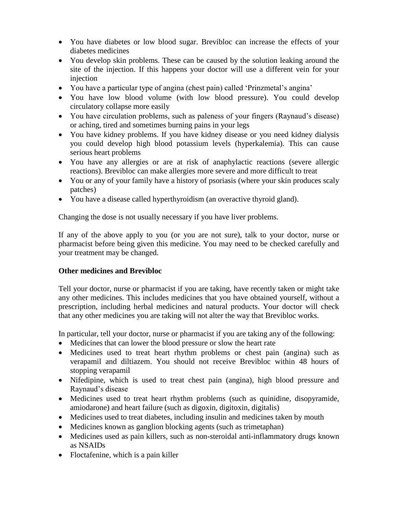- You have diabetes or low blood sugar. Brevibloc can increase the effects of your diabetes medicines
- You develop skin problems. These can be caused by the solution leaking around the site of the injection. If this happens your doctor will use a different vein for your injection
- You have a particular type of angina (chest pain) called 'Prinzmetal's angina'
- You have low blood volume (with low blood pressure). You could develop circulatory collapse more easily
- You have circulation problems, such as paleness of your fingers (Raynaud's disease) or aching, tired and sometimes burning pains in your legs
- You have kidney problems. If you have kidney disease or you need kidney dialysis you could develop high blood potassium levels (hyperkalemia). This can cause serious heart problems
- You have any allergies or are at risk of anaphylactic reactions (severe allergic reactions). Brevibloc can make allergies more severe and more difficult to treat
- You or any of your family have a history of psoriasis (where your skin produces scaly patches)
- You have a disease called hyperthyroidism (an overactive thyroid gland).

Changing the dose is not usually necessary if you have liver problems.

If any of the above apply to you (or you are not sure), talk to your doctor, nurse or pharmacist before being given this medicine. You may need to be checked carefully and your treatment may be changed.

## **Other medicines and Brevibloc**

Tell your doctor, nurse or pharmacist if you are taking, have recently taken or might take any other medicines. This includes medicines that you have obtained yourself, without a prescription, including herbal medicines and natural products. Your doctor will check that any other medicines you are taking will not alter the way that Brevibloc works.

In particular, tell your doctor, nurse or pharmacist if you are taking any of the following:

- Medicines that can lower the blood pressure or slow the heart rate
- Medicines used to treat heart rhythm problems or chest pain (angina) such as verapamil and diltiazem. You should not receive Brevibloc within 48 hours of stopping verapamil
- Nifedipine, which is used to treat chest pain (angina), high blood pressure and Raynaud's disease
- Medicines used to treat heart rhythm problems (such as quinidine, disopyramide, amiodarone) and heart failure (such as digoxin, digitoxin, digitalis)
- Medicines used to treat diabetes, including insulin and medicines taken by mouth
- Medicines known as ganglion blocking agents (such as trimetaphan)
- Medicines used as pain killers, such as non-steroidal anti-inflammatory drugs known as NSAIDs
- Floctafenine, which is a pain killer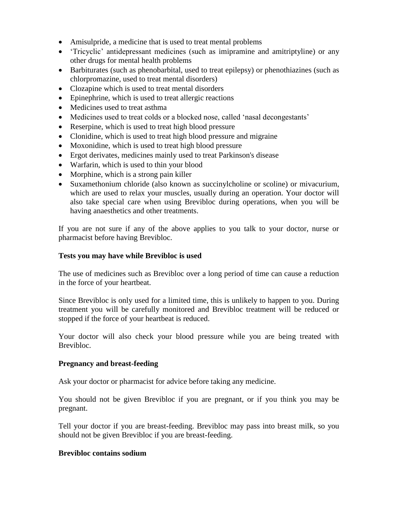- Amisulpride, a medicine that is used to treat mental problems
- 'Tricyclic' antidepressant medicines (such as imipramine and amitriptyline) or any other drugs for mental health problems
- Barbiturates (such as phenobarbital, used to treat epilepsy) or phenothiazines (such as chlorpromazine, used to treat mental disorders)
- Clozapine which is used to treat mental disorders
- Epinephrine, which is used to treat allergic reactions
- Medicines used to treat asthma
- Medicines used to treat colds or a blocked nose, called 'nasal decongestants'
- Reserpine, which is used to treat high blood pressure
- Clonidine, which is used to treat high blood pressure and migraine
- Moxonidine, which is used to treat high blood pressure
- Ergot derivates, medicines mainly used to treat Parkinson's disease
- Warfarin, which is used to thin your blood
- Morphine, which is a strong pain killer
- Suxamethonium chloride (also known as succinylcholine or scoline) or mivacurium, which are used to relax your muscles, usually during an operation. Your doctor will also take special care when using Brevibloc during operations, when you will be having anaesthetics and other treatments.

If you are not sure if any of the above applies to you talk to your doctor, nurse or pharmacist before having Brevibloc.

#### **Tests you may have while Brevibloc is used**

The use of medicines such as Brevibloc over a long period of time can cause a reduction in the force of your heartbeat.

Since Brevibloc is only used for a limited time, this is unlikely to happen to you. During treatment you will be carefully monitored and Brevibloc treatment will be reduced or stopped if the force of your heartbeat is reduced.

Your doctor will also check your blood pressure while you are being treated with Brevibloc.

#### **Pregnancy and breast-feeding**

Ask your doctor or pharmacist for advice before taking any medicine.

You should not be given Brevibloc if you are pregnant, or if you think you may be pregnant.

Tell your doctor if you are breast-feeding. Brevibloc may pass into breast milk, so you should not be given Brevibloc if you are breast-feeding.

#### **Brevibloc contains sodium**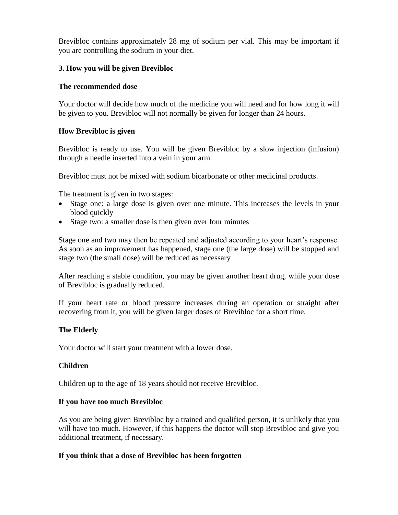Brevibloc contains approximately 28 mg of sodium per vial. This may be important if you are controlling the sodium in your diet.

### **3. How you will be given Brevibloc**

#### **The recommended dose**

Your doctor will decide how much of the medicine you will need and for how long it will be given to you. Brevibloc will not normally be given for longer than 24 hours.

### **How Brevibloc is given**

Brevibloc is ready to use. You will be given Brevibloc by a slow injection (infusion) through a needle inserted into a vein in your arm.

Brevibloc must not be mixed with sodium bicarbonate or other medicinal products.

The treatment is given in two stages:

- Stage one: a large dose is given over one minute. This increases the levels in your blood quickly
- Stage two: a smaller dose is then given over four minutes

Stage one and two may then be repeated and adjusted according to your heart's response. As soon as an improvement has happened, stage one (the large dose) will be stopped and stage two (the small dose) will be reduced as necessary

After reaching a stable condition, you may be given another heart drug, while your dose of Brevibloc is gradually reduced.

If your heart rate or blood pressure increases during an operation or straight after recovering from it, you will be given larger doses of Brevibloc for a short time.

## **The Elderly**

Your doctor will start your treatment with a lower dose.

#### **Children**

Children up to the age of 18 years should not receive Brevibloc.

#### **If you have too much Brevibloc**

As you are being given Brevibloc by a trained and qualified person, it is unlikely that you will have too much. However, if this happens the doctor will stop Brevibloc and give you additional treatment, if necessary.

#### **If you think that a dose of Brevibloc has been forgotten**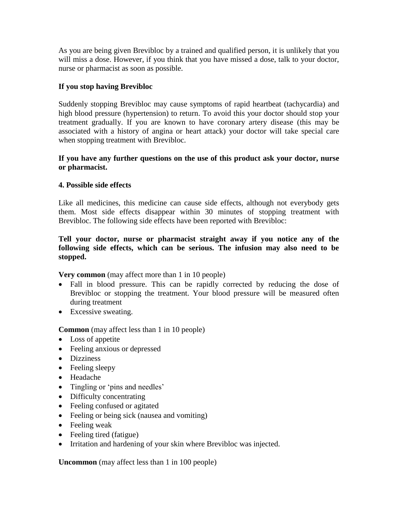As you are being given Brevibloc by a trained and qualified person, it is unlikely that you will miss a dose. However, if you think that you have missed a dose, talk to your doctor, nurse or pharmacist as soon as possible.

### **If you stop having Brevibloc**

Suddenly stopping Brevibloc may cause symptoms of rapid heartbeat (tachycardia) and high blood pressure (hypertension) to return. To avoid this your doctor should stop your treatment gradually. If you are known to have coronary artery disease (this may be associated with a history of angina or heart attack) your doctor will take special care when stopping treatment with Brevibloc.

### **If you have any further questions on the use of this product ask your doctor, nurse or pharmacist.**

#### **4. Possible side effects**

Like all medicines, this medicine can cause side effects, although not everybody gets them. Most side effects disappear within 30 minutes of stopping treatment with Brevibloc. The following side effects have been reported with Brevibloc:

### **Tell your doctor, nurse or pharmacist straight away if you notice any of the following side effects, which can be serious. The infusion may also need to be stopped.**

**Very common** (may affect more than 1 in 10 people)

- Fall in blood pressure. This can be rapidly corrected by reducing the dose of Brevibloc or stopping the treatment. Your blood pressure will be measured often during treatment
- Excessive sweating.

**Common** (may affect less than 1 in 10 people)

- Loss of appetite
- Feeling anxious or depressed
- Dizziness
- Feeling sleepy
- Headache
- Tingling or 'pins and needles'
- Difficulty concentrating
- Feeling confused or agitated
- Feeling or being sick (nausea and vomiting)
- Feeling weak
- Feeling tired (fatigue)
- Irritation and hardening of your skin where Brevibloc was injected.

**Uncommon** (may affect less than 1 in 100 people)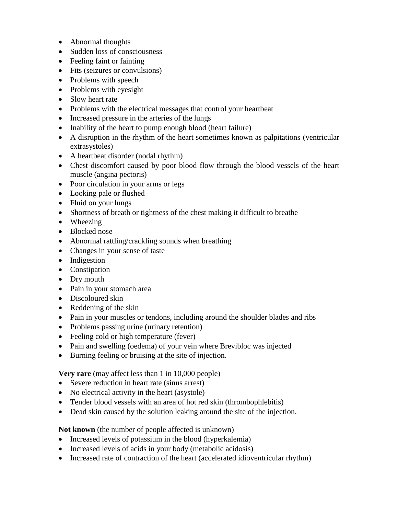- Abnormal thoughts
- Sudden loss of consciousness
- Feeling faint or fainting
- Fits (seizures or convulsions)
- Problems with speech
- Problems with eyesight
- Slow heart rate
- Problems with the electrical messages that control your heartbeat
- Increased pressure in the arteries of the lungs
- Inability of the heart to pump enough blood (heart failure)
- A disruption in the rhythm of the heart sometimes known as palpitations (ventricular extrasystoles)
- A heartbeat disorder (nodal rhythm)
- Chest discomfort caused by poor blood flow through the blood vessels of the heart muscle (angina pectoris)
- Poor circulation in your arms or legs
- Looking pale or flushed
- Fluid on your lungs
- Shortness of breath or tightness of the chest making it difficult to breathe
- Wheezing
- Blocked nose
- Abnormal rattling/crackling sounds when breathing
- Changes in your sense of taste
- Indigestion
- Constipation
- Dry mouth
- Pain in your stomach area
- Discoloured skin
- Reddening of the skin
- Pain in your muscles or tendons, including around the shoulder blades and ribs
- Problems passing urine (urinary retention)
- Feeling cold or high temperature (fever)
- Pain and swelling (oedema) of your vein where Brevibloc was injected
- Burning feeling or bruising at the site of injection.

**Very rare** (may affect less than 1 in 10,000 people)

- Severe reduction in heart rate (sinus arrest)
- No electrical activity in the heart (asystole)
- Tender blood vessels with an area of hot red skin (thrombophlebitis)
- Dead skin caused by the solution leaking around the site of the injection.

**Not known** (the number of people affected is unknown)

- Increased levels of potassium in the blood (hyperkalemia)
- Increased levels of acids in your body (metabolic acidosis)
- Increased rate of contraction of the heart (accelerated idioventricular rhythm)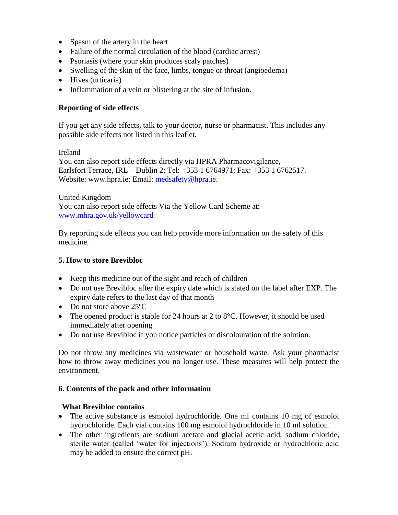- Spasm of the artery in the heart
- Failure of the normal circulation of the blood (cardiac arrest)
- Psoriasis (where your skin produces scaly patches)
- Swelling of the skin of the face, limbs, tongue or throat (angioedema)
- Hives (urticaria)
- Inflammation of a vein or blistering at the site of infusion.

## **Reporting of side effects**

If you get any side effects, talk to your doctor, nurse or pharmacist. This includes any possible side effects not listed in this leaflet.

### Ireland

You can also report side effects directly via HPRA Pharmacovigilance, Earlsfort Terrace, IRL – Dublin 2; Tel: +353 1 6764971; Fax: +353 1 6762517. Website: www.hpra.ie; Email: [medsafety@hpra.ie.](mailto:medsafety@hpra.ie)

United Kingdom You can also report side effects Via the Yellow Card Scheme at: [www.mhra.gov.uk/yellowcard](http://www.mhra.gov.uk/yellowcard)

By reporting side effects you can help provide more information on the safety of this medicine.

## **5. How to store Brevibloc**

- Keep this medicine out of the sight and reach of children
- Do not use Brevibloc after the expiry date which is stated on the label after EXP. The expiry date refers to the last day of that month
- Do not store above 25 °C
- The opened product is stable for 24 hours at 2 to  $8^{\circ}$ C. However, it should be used immediately after opening
- Do not use Brevibloc if you notice particles or discolouration of the solution.

Do not throw any medicines via wastewater or household waste. Ask your pharmacist how to throw away medicines you no longer use. These measures will help protect the environment.

#### **6. Contents of the pack and other information**

#### 6**What Brevibloc contains**

- The active substance is esmolol hydrochloride. One ml contains 10 mg of esmolol hydrochloride. Each vial contains 100 mg esmolol hydrochloride in 10 ml solution.
- The other ingredients are sodium acetate and glacial acetic acid, sodium chloride, sterile water (called 'water for injections'). Sodium hydroxide or hydrochloric acid may be added to ensure the correct pH.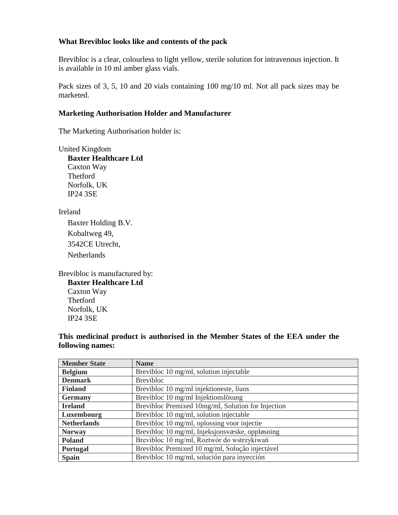### **What Brevibloc looks like and contents of the pack**

Brevibloc is a clear, colourless to light yellow, sterile solution for intravenous injection. It is available in 10 ml amber glass vials.

Pack sizes of 3, 5, 10 and 20 vials containing 100 mg/10 ml. Not all pack sizes may be marketed.

### **Marketing Authorisation Holder and Manufacturer**

The Marketing Authorisation holder is:

United Kingdom **Baxter Healthcare Ltd** Caxton Way Thetford Norfolk, UK IP24 3SE

Ireland

Baxter Holding B.V. Kobaltweg 49, 3542CE Utrecht, **Netherlands** 

Brevibloc is manufactured by: **Baxter Healthcare Ltd** Caxton Way Thetford Norfolk, UK IP24 3SE

**This medicinal product is authorised in the Member States of the EEA under the following names:**

| <b>Member State</b> | <b>Name</b>                                        |
|---------------------|----------------------------------------------------|
| <b>Belgium</b>      | Brevibloc 10 mg/ml, solution injectable            |
| <b>Denmark</b>      | <b>Brevibloc</b>                                   |
| <b>Finland</b>      | Brevibloc 10 mg/ml injektioneste, liuos            |
| <b>Germany</b>      | Brevibloc 10 mg/ml Injektionslösung                |
| <b>Ireland</b>      | Brevibloc Premixed 10mg/ml, Solution for Injection |
| Luxembourg          | Brevibloc 10 mg/ml, solution injectable            |
| <b>Netherlands</b>  | Brevibloc 10 mg/ml, oplossing voor injectie        |
| <b>Norway</b>       | Brevibloc 10 mg/ml, Injeksjonsvæske, oppløsning    |
| <b>Poland</b>       | Brevibloc 10 mg/ml, Roztwór do wstrzykiwań         |
| <b>Portugal</b>     | Brevibloc Premixed 10 mg/ml, Solução injectável    |
| <b>Spain</b>        | Brevibloc 10 mg/ml, solución para inyección        |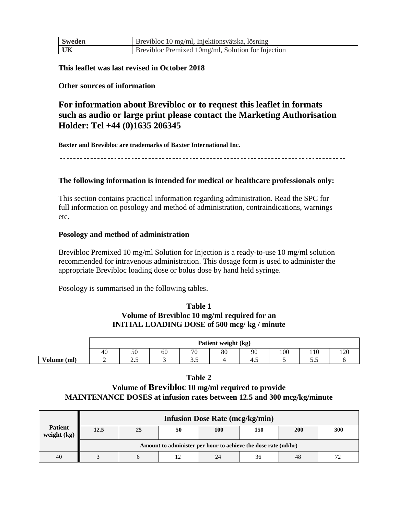| Sweden | Brevibloc 10 mg/ml, Injektionsvätska, lösning      |
|--------|----------------------------------------------------|
| - UK   | Brevibloc Premixed 10mg/ml, Solution for Injection |

**This leaflet was last revised in October 2018**

### **Other sources of information**

# **For information about Brevibloc or to request this leaflet in formats such as audio or large print please contact the Marketing Authorisation Holder: Tel +44 (0)1635 206345**

**Baxter and Brevibloc are trademarks of Baxter International Inc.** 

#### **The following information is intended for medical or healthcare professionals only:**

This section contains practical information regarding administration. Read the SPC for full information on posology and method of administration, contraindications, warnings etc.

#### **Posology and method of administration**

Brevibloc Premixed 10 mg/ml Solution for Injection is a ready-to-use 10 mg/ml solution recommended for intravenous administration. This dosage form is used to administer the appropriate Brevibloc loading dose or bolus dose by hand held syringe.

Posology is summarised in the following tables.

#### **Table 1 Volume of Brevibloc 10 mg/ml required for an INITIAL LOADING DOSE of 500 mcg/ kg / minute**

|             | Patient weight (kg) |     |    |     |    |    |     |     |     |  |
|-------------|---------------------|-----|----|-----|----|----|-----|-----|-----|--|
|             | 40                  | 50  | 60 | 70  | 80 | 90 | 100 | 110 | 120 |  |
| Volume (ml) |                     | ن ک |    | ر.ر |    | 4. |     | ັ∙∙ |     |  |

#### **Table 2**

## **Volume of Brevibloc 10 mg/ml required to provide MAINTENANCE DOSES at infusion rates between 12.5 and 300 mcg/kg/minute**

|                                 | <b>Infusion Dose Rate (mcg/kg/min)</b>                         |    |    |     |     |            |     |  |  |
|---------------------------------|----------------------------------------------------------------|----|----|-----|-----|------------|-----|--|--|
| <b>Patient</b><br>weight $(kg)$ | 12.5                                                           | 25 | 50 | 100 | 150 | <b>200</b> | 300 |  |  |
|                                 | Amount to administer per hour to achieve the dose rate (ml/hr) |    |    |     |     |            |     |  |  |
| 40                              |                                                                |    |    | 24  | 36  | 48         |     |  |  |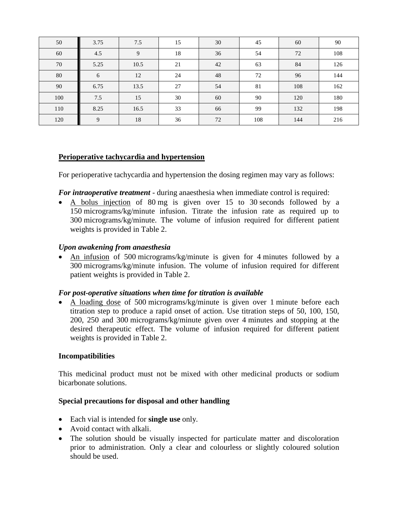| 50     | 3.75 | 7.5  | 15 | 30 | 45  | 60  | $90\,$ |
|--------|------|------|----|----|-----|-----|--------|
| 60     | 4.5  | 9    | 18 | 36 | 54  | 72  | 108    |
| 70     | 5.25 | 10.5 | 21 | 42 | 63  | 84  | 126    |
| $80\,$ | 6    | 12   | 24 | 48 | 72  | 96  | 144    |
| 90     | 6.75 | 13.5 | 27 | 54 | 81  | 108 | 162    |
| 100    | 7.5  | 15   | 30 | 60 | 90  | 120 | 180    |
| 110    | 8.25 | 16.5 | 33 | 66 | 99  | 132 | 198    |
| 120    | 9    | 18   | 36 | 72 | 108 | 144 | 216    |

## **Perioperative tachycardia and hypertension**

For perioperative tachycardia and hypertension the dosing regimen may vary as follows:

*For intraoperative treatment* - during anaesthesia when immediate control is required:

• A bolus injection of 80 mg is given over 15 to 30 seconds followed by a 150 micrograms/kg/minute infusion. Titrate the infusion rate as required up to 300 micrograms/kg/minute. The volume of infusion required for different patient weights is provided in Table 2.

## *Upon awakening from anaesthesia*

• An infusion of 500 micrograms/kg/minute is given for 4 minutes followed by a 300 micrograms/kg/minute infusion. The volume of infusion required for different patient weights is provided in Table 2.

## *For post-operative situations when time for titration is available*

 A loading dose of 500 micrograms/kg/minute is given over 1 minute before each titration step to produce a rapid onset of action. Use titration steps of 50, 100, 150, 200, 250 and 300 micrograms/kg/minute given over 4 minutes and stopping at the desired therapeutic effect. The volume of infusion required for different patient weights is provided in Table 2.

#### **Incompatibilities**

This medicinal product must not be mixed with other medicinal products or sodium bicarbonate solutions.

#### **Special precautions for disposal and other handling**

- Each vial is intended for **single use** only.
- Avoid contact with alkali.
- The solution should be visually inspected for particulate matter and discoloration prior to administration. Only a clear and colourless or slightly coloured solution should be used.